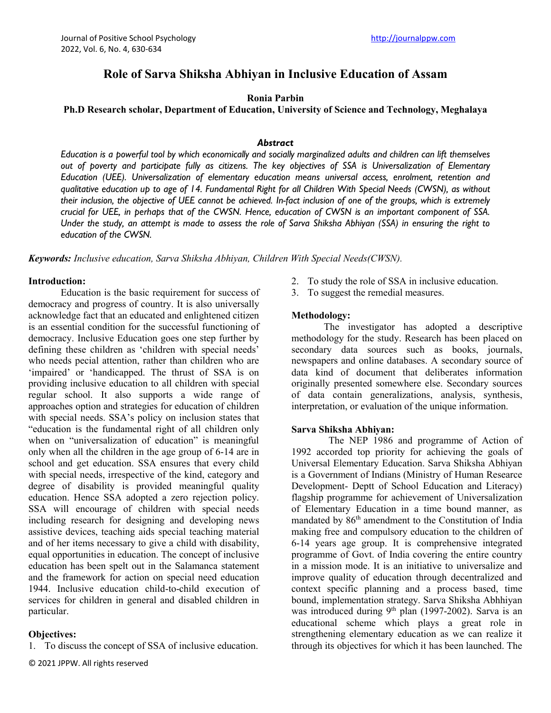# **Role of Sarva Shiksha Abhiyan in Inclusive Education of Assam**

### **Ronia Parbin**

**Ph.D Research scholar, Department of Education, University of Science and Technology, Meghalaya**

#### *Abstract*

*Education is a powerful tool by which economically and socially marginalized adults and children can lift themselves out of poverty and participate fully as citizens. The key objectives of SSA is Universalization of Elementary Education (UEE). Universalization of elementary education means universal access, enrolment, retention and qualitative education up to age of 14. Fundamental Right for all Children With Special Needs (CWSN), as without their inclusion, the objective of UEE cannot be achieved. In-fact inclusion of one of the groups, which is extremely crucial for UEE, in perhaps that of the CWSN. Hence, education of CWSN is an important component of SSA. Under the study, an attempt is made to assess the role of Sarva Shiksha Abhiyan (SSA) in ensuring the right to education of the CWSN.*

*Keywords: Inclusive education, Sarva Shiksha Abhiyan, Children With Special Needs(CWSN).*

#### **Introduction:**

Education is the basic requirement for success of democracy and progress of country. It is also universally acknowledge fact that an educated and enlightened citizen is an essential condition for the successful functioning of democracy. Inclusive Education goes one step further by defining these children as 'children with special needs' who needs pecial attention, rather than children who are 'impaired' or 'handicapped. The thrust of SSA is on providing inclusive education to all children with special regular school. It also supports a wide range of approaches option and strategies for education of children with special needs. SSA's policy on inclusion states that "education is the fundamental right of all children only when on "universalization of education" is meaningful only when all the children in the age group of 6-14 are in school and get education. SSA ensures that every child with special needs, irrespective of the kind, category and degree of disability is provided meaningful quality education. Hence SSA adopted a zero rejection policy. SSA will encourage of children with special needs including research for designing and developing news assistive devices, teaching aids special teaching material and of her items necessary to give a child with disability, equal opportunities in education. The concept of inclusive education has been spelt out in the Salamanca statement and the framework for action on special need education 1944. Inclusive education child-to-child execution of services for children in general and disabled children in particular.

### **Objectives:**

- 1. To discuss the concept of SSA of inclusive education.
- © 2021 JPPW. All rights reserved
- 2. To study the role of SSA in inclusive education.
- 3. To suggest the remedial measures.

#### **Methodology:**

The investigator has adopted a descriptive methodology for the study. Research has been placed on secondary data sources such as books, journals, newspapers and online databases. A secondary source of data kind of document that deliberates information originally presented somewhere else. Secondary sources of data contain generalizations, analysis, synthesis, interpretation, or evaluation of the unique information.

#### **Sarva Shiksha Abhiyan:**

The NEP 1986 and programme of Action of 1992 accorded top priority for achieving the goals of Universal Elementary Education. Sarva Shiksha Abhiyan is a Government of Indians (Ministry of Human Researce Development- Deptt of School Education and Literacy) flagship programme for achievement of Universalization of Elementary Education in a time bound manner, as mandated by  $86<sup>th</sup>$  amendment to the Constitution of India making free and compulsory education to the children of 6-14 years age group. It is comprehensive integrated programme of Govt. of India covering the entire country in a mission mode. It is an initiative to universalize and improve quality of education through decentralized and context specific planning and a process based, time bound, implementation strategy. Sarva Shiksha Abhhiyan was introduced during 9<sup>th</sup> plan (1997-2002). Sarva is an educational scheme which plays a great role in strengthening elementary education as we can realize it through its objectives for which it has been launched. The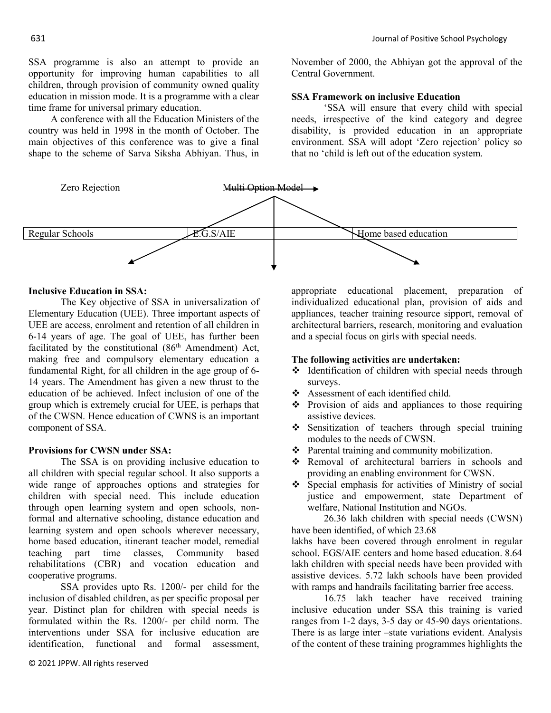SSA programme is also an attempt to provide an opportunity for improving human capabilities to all children, through provision of community owned quality education in mission mode. It is a programme with a clear time frame for universal primary education.

A conference with all the Education Ministers of the country was held in 1998 in the month of October. The main objectives of this conference was to give a final shape to the scheme of Sarva Siksha Abhiyan. Thus, in

November of 2000, the Abhiyan got the approval of the Central Government.

### **SSA Framework on inclusive Education**

'SSA will ensure that every child with special needs, irrespective of the kind category and degree disability, is provided education in an appropriate environment. SSA will adopt 'Zero rejection' policy so that no 'child is left out of the education system.



### **Inclusive Education in SSA:**

The Key objective of SSA in universalization of Elementary Education (UEE). Three important aspects of UEE are access, enrolment and retention of all children in 6-14 years of age. The goal of UEE, has further been facilitated by the constitutional  $(86<sup>th</sup>$  Amendment) Act, making free and compulsory elementary education a fundamental Right, for all children in the age group of 6- 14 years. The Amendment has given a new thrust to the education of be achieved. Infect inclusion of one of the group which is extremely crucial for UEE, is perhaps that of the CWSN. Hence education of CWNS is an important component of SSA.

### **Provisions for CWSN under SSA:**

The SSA is on providing inclusive education to all children with special regular school. It also supports a wide range of approaches options and strategies for children with special need. This include education through open learning system and open schools, nonformal and alternative schooling, distance education and learning system and open schools wherever necessary, home based education, itinerant teacher model, remedial teaching part time classes, Community based rehabilitations (CBR) and vocation education and cooperative programs.

SSA provides upto Rs. 1200/- per child for the inclusion of disabled children, as per specific proposal per year. Distinct plan for children with special needs is formulated within the Rs. 1200/- per child norm. The interventions under SSA for inclusive education are identification, functional and formal assessment,

appropriate educational placement, preparation of individualized educational plan, provision of aids and appliances, teacher training resource sipport, removal of architectural barriers, research, monitoring and evaluation and a special focus on girls with special needs.

### **The following activities are undertaken:**

- $\triangleleft$  Identification of children with special needs through surveys.
- \* Assessment of each identified child.
- $\cdot \cdot$  Provision of aids and appliances to those requiring assistive devices.
- $\div$  Sensitization of teachers through special training modules to the needs of CWSN.
- $\triangle$  Parental training and community mobilization.
- \* Removal of architectural barriers in schools and providing an enabling environment for CWSN.
- v Special emphasis for activities of Ministry of social justice and empowerment, state Department of welfare, National Institution and NGOs.

26.36 lakh children with special needs (CWSN) have been identified, of which 23.68

lakhs have been covered through enrolment in regular school. EGS/AIE centers and home based education. 8.64 lakh children with special needs have been provided with assistive devices. 5.72 lakh schools have been provided with ramps and handrails facilitating barrier free access.

16.75 lakh teacher have received training inclusive education under SSA this training is varied ranges from 1-2 days, 3-5 day or 45-90 days orientations. There is as large inter –state variations evident. Analysis of the content of these training programmes highlights the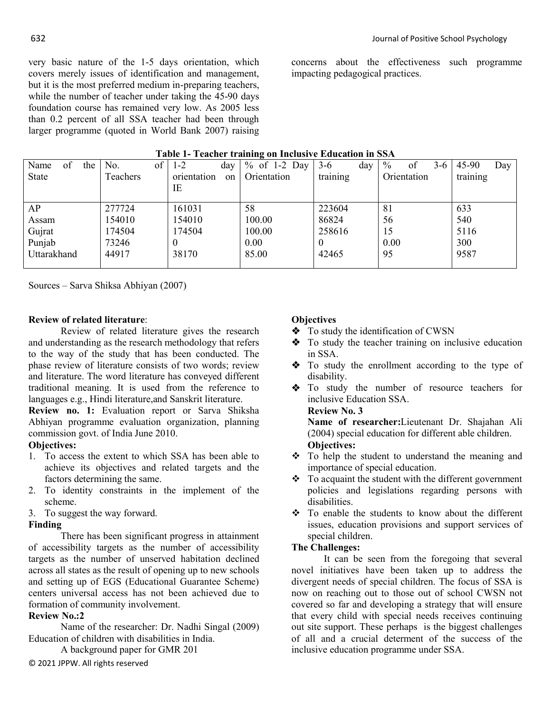very basic nature of the 1-5 days orientation, which covers merely issues of identification and management, but it is the most preferred medium in-preparing teachers, while the number of teacher under taking the 45-90 days foundation course has remained very low. As 2005 less than 0.2 percent of all SSA teacher had been through larger programme (quoted in World Bank 2007) raising

concerns about the effectiveness such programme impacting pedagogical practices.

| Table 1- Teacher training on Inclusive Education in SSA |  |  |
|---------------------------------------------------------|--|--|
|                                                         |  |  |

| I was also a million on these |           |                   |                |              |                              |              |  |  |  |
|-------------------------------|-----------|-------------------|----------------|--------------|------------------------------|--------------|--|--|--|
| of<br>Name<br>the             | of<br>No. | day<br>$1 - 2$    | $%$ of 1-2 Day | $3-6$<br>day | $\frac{0}{0}$<br>$3-6$<br>οt | 45-90<br>Day |  |  |  |
| State                         | Teachers  | orientation<br>on | Orientation    | training     | Orientation                  | training     |  |  |  |
|                               |           | ΙE                |                |              |                              |              |  |  |  |
|                               |           |                   |                |              |                              |              |  |  |  |
| AP                            | 277724    | 161031            | 58             | 223604       | 81                           | 633          |  |  |  |
| Assam                         | 154010    | 154010            | 100.00         | 86824        | 56                           | 540          |  |  |  |
| Gujrat                        | 174504    | 174504            | 100.00         | 258616       | 15                           | 5116         |  |  |  |
| Punjab                        | 73246     |                   | 0.00           | $\theta$     | 0.00                         | 300          |  |  |  |
| Uttarakhand                   | 44917     | 38170             | 85.00          | 42465        | 95                           | 9587         |  |  |  |
|                               |           |                   |                |              |                              |              |  |  |  |

Sources – Sarva Shiksa Abhiyan (2007)

## **Review of related literature**:

Review of related literature gives the research and understanding as the research methodology that refers to the way of the study that has been conducted. The phase review of literature consists of two words; review and literature. The word literature has conveyed different traditional meaning. It is used from the reference to languages e.g., Hindi literature,and Sanskrit literature.

**Review no. 1:** Evaluation report or Sarva Shiksha Abhiyan programme evaluation organization, planning commission govt. of India June 2010.

## **Objectives:**

- 1. To access the extent to which SSA has been able to achieve its objectives and related targets and the factors determining the same.
- 2. To identity constraints in the implement of the scheme.
- 3. To suggest the way forward.

## **Finding**

There has been significant progress in attainment of accessibility targets as the number of accessibility targets as the number of unserved habitation declined across all states as the result of opening up to new schools and setting up of EGS (Educational Guarantee Scheme) centers universal access has not been achieved due to formation of community involvement.

## **Review No.:2**

Name of the researcher: Dr. Nadhi Singal (2009) Education of children with disabilities in India.

A background paper for GMR 201

© 2021 JPPW. All rights reserved

## **Objectives**

- $\bullet$  To study the identification of CWSN
- $\bullet$  To study the teacher training on inclusive education in SSA.
- To study the enrollment according to the type of disability.
- v To study the number of resource teachers for inclusive Education SSA.

**Review No. 3**

**Name of researcher:**Lieutenant Dr. Shajahan Ali (2004) special education for different able children. **Objectives:**

- $\div$  To help the student to understand the meaning and importance of special education.
- $\div$  To acquaint the student with the different government policies and legislations regarding persons with disabilities.
- $\div$  To enable the students to know about the different issues, education provisions and support services of special children.

## **The Challenges:**

It can be seen from the foregoing that several novel initiatives have been taken up to address the divergent needs of special children. The focus of SSA is now on reaching out to those out of school CWSN not covered so far and developing a strategy that will ensure that every child with special needs receives continuing out site support. These perhaps is the biggest challenges of all and a crucial determent of the success of the inclusive education programme under SSA.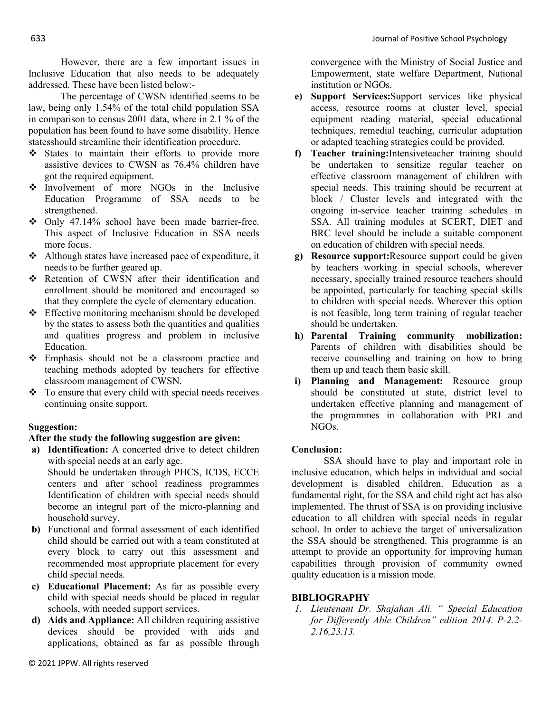However, there are a few important issues in Inclusive Education that also needs to be adequately addressed. These have been listed below:-

The percentage of CWSN identified seems to be law, being only 1.54% of the total child population SSA in comparison to census 2001 data, where in 2.1 % of the population has been found to have some disability. Hence statesshould streamline their identification procedure.

- $\div$  States to maintain their efforts to provide more assistive devices to CWSN as 76.4% children have got the required equipment.
- $\cdot \cdot$  Involvement of more NGOs in the Inclusive Education Programme of SSA needs to be strengthened.
- $\div$  Only 47.14% school have been made barrier-free. This aspect of Inclusive Education in SSA needs more focus.
- $\triangleleft$  Although states have increased pace of expenditure, it needs to be further geared up.
- \* Retention of CWSN after their identification and enrollment should be monitored and encouraged so that they complete the cycle of elementary education.
- $\triangle$  Effective monitoring mechanism should be developed by the states to assess both the quantities and qualities and qualities progress and problem in inclusive Education.
- $\div$  Emphasis should not be a classroom practice and teaching methods adopted by teachers for effective classroom management of CWSN.
- $\div$  To ensure that every child with special needs receives continuing onsite support.

## **Suggestion:**

## **After the study the following suggestion are given:**

**a) Identification:** A concerted drive to detect children with special needs at an early age. Should be undertaken through PHCS, ICDS, ECCE centers and after school readiness programmes

Identification of children with special needs should become an integral part of the micro-planning and household survey.

- **b)** Functional and formal assessment of each identified child should be carried out with a team constituted at every block to carry out this assessment and recommended most appropriate placement for every child special needs.
- **c) Educational Placement:** As far as possible every child with special needs should be placed in regular schools, with needed support services.
- **d) Aids and Appliance:** All children requiring assistive devices should be provided with aids and applications, obtained as far as possible through

convergence with the Ministry of Social Justice and Empowerment, state welfare Department, National institution or NGOs.

- **e) Support Services:**Support services like physical access, resource rooms at cluster level, special equipment reading material, special educational techniques, remedial teaching, curricular adaptation or adapted teaching strategies could be provided.
- **f) Teacher training:**Intensiveteacher training should be undertaken to sensitize regular teacher on effective classroom management of children with special needs. This training should be recurrent at block / Cluster levels and integrated with the ongoing in-service teacher training schedules in SSA. All training modules at SCERT, DIET and BRC level should be include a suitable component on education of children with special needs.
- **g) Resource support:**Resource support could be given by teachers working in special schools, wherever necessary, specially trained resource teachers should be appointed, particularly for teaching special skills to children with special needs. Wherever this option is not feasible, long term training of regular teacher should be undertaken.
- **h) Parental Training community mobilization:** Parents of children with disabilities should be receive counselling and training on how to bring them up and teach them basic skill.
- **i) Planning and Management:** Resource group should be constituted at state, district level to undertaken effective planning and management of the programmes in collaboration with PRI and NGOs.

## **Conclusion:**

SSA should have to play and important role in inclusive education, which helps in individual and social development is disabled children. Education as a fundamental right, for the SSA and child right act has also implemented. The thrust of SSA is on providing inclusive education to all children with special needs in regular school. In order to achieve the target of universalization the SSA should be strengthened. This programme is an attempt to provide an opportunity for improving human capabilities through provision of community owned quality education is a mission mode.

## **BIBLIOGRAPHY**

*1. Lieutenant Dr. Shajahan Ali. " Special Education for Differently Able Children" edition 2014. P-2.2- 2.16,23.13.*